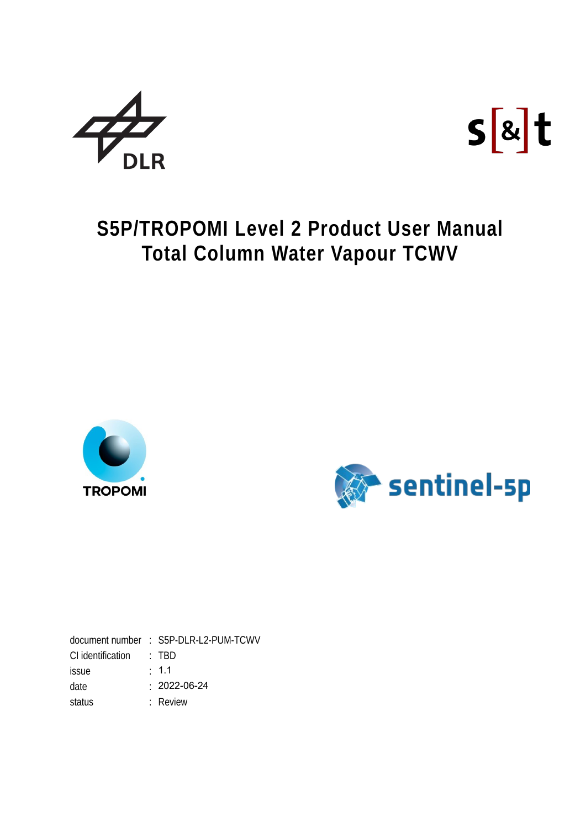



# **S5P/TROPOMI Level 2 Product User Manual Total Column Water Vapour TCWV**





document number : S5P-DLR-L2-PUM-TCWV CI identification : TBD issue : 1.1 date : 2022-06-24 status : Review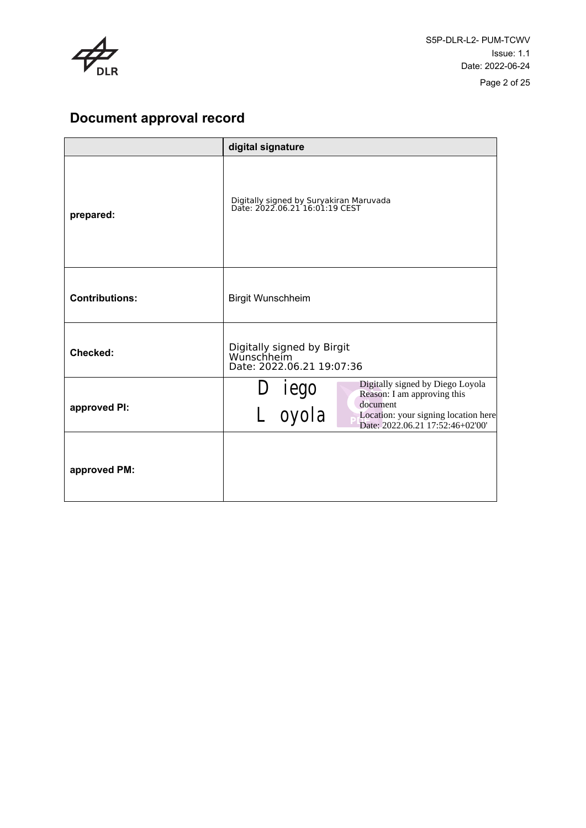

## **Document approval record**

|                       | digital signature                                                                                                                                                            |  |
|-----------------------|------------------------------------------------------------------------------------------------------------------------------------------------------------------------------|--|
| prepared:             | Digitally signed by Suryakiran Maruvada<br>Date: 2022.06.21 16:01:19 CEST                                                                                                    |  |
| <b>Contributions:</b> | <b>Birgit Wunschheim</b>                                                                                                                                                     |  |
| Checked:              | Digitally signed by Birgit<br>Wunschheim<br>Date: 2022.06.21 19:07:36                                                                                                        |  |
| approved PI:          | Digitally signed by Diego Loyola<br>D iego<br>∟ oyola<br>Reason: I am approving this<br>document<br>Location: your signing location here<br>Date: 2022.06.21 17:52:46+02'00' |  |
| approved PM:          |                                                                                                                                                                              |  |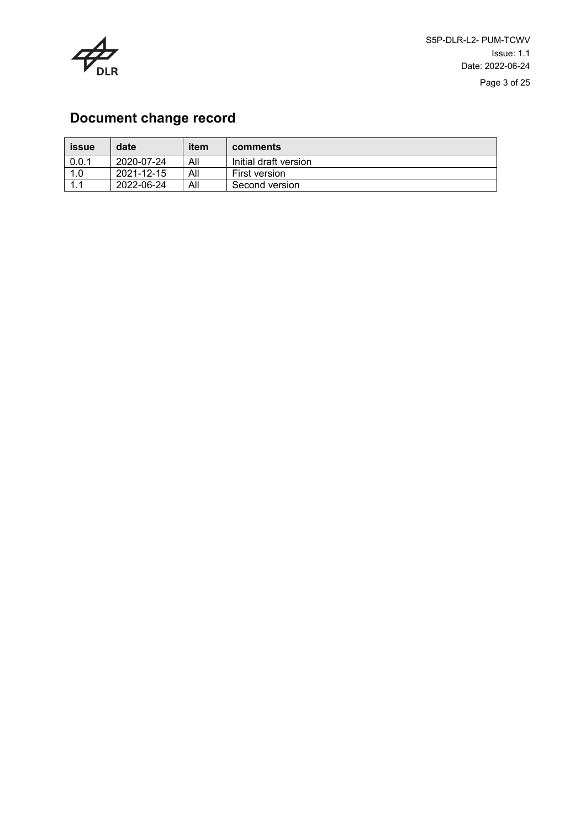

## **Document change record**

| <b>issue</b> | date       | item | comments              |
|--------------|------------|------|-----------------------|
| 0.0.1        | 2020-07-24 | All  | Initial draft version |
| 1.0          | 2021-12-15 | All  | First version         |
| 1.1          | 2022-06-24 | All  | Second version        |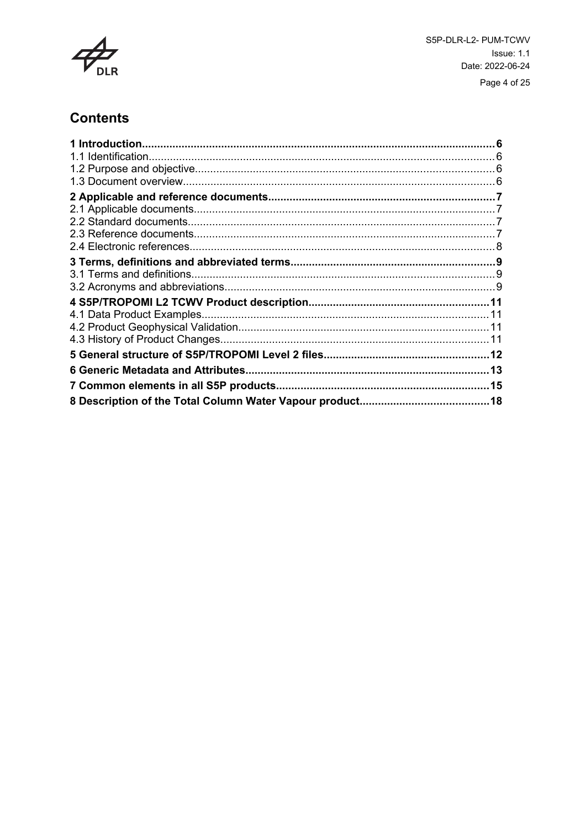

## **Contents**

| 1 Introduction.                        |  |
|----------------------------------------|--|
|                                        |  |
|                                        |  |
|                                        |  |
|                                        |  |
|                                        |  |
|                                        |  |
|                                        |  |
|                                        |  |
|                                        |  |
|                                        |  |
|                                        |  |
|                                        |  |
|                                        |  |
|                                        |  |
|                                        |  |
|                                        |  |
|                                        |  |
| 7 Common elements in all S5P products. |  |
|                                        |  |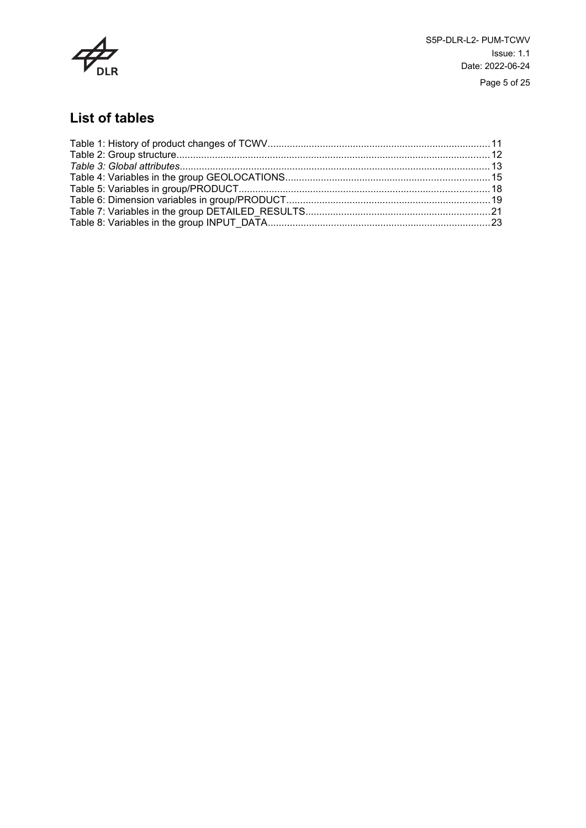

S5P-DLR-L2- PUM-TCWV Issue: 1.1 Date: 2022-06-24 Page 5 of 25

## **List of tables**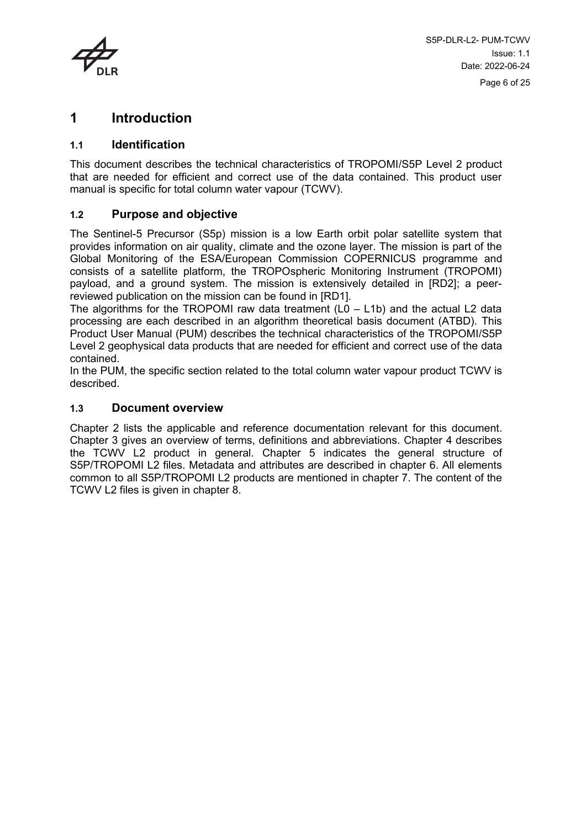

## <span id="page-5-0"></span>**1 Introduction**

#### <span id="page-5-1"></span>**1.1 Identification**

This document describes the technical characteristics of TROPOMI/S5P Level 2 product that are needed for efficient and correct use of the data contained. This product user manual is specific for total column water vapour (TCWV).

#### <span id="page-5-2"></span>**1.2 Purpose and objective**

The Sentinel-5 Precursor (S5p) mission is a low Earth orbit polar satellite system that provides information on air quality, climate and the ozone layer. The mission is part of the Global Monitoring of the ESA/European Commission COPERNICUS programme and consists of a satellite platform, the TROPOspheric Monitoring Instrument (TROPOMI) payload, and a ground system. The mission is extensively detailed in [RD2]; a peerreviewed publication on the mission can be found in [RD1].

The algorithms for the TROPOMI raw data treatment  $(LO - L1b)$  and the actual L2 data processing are each described in an algorithm theoretical basis document (ATBD). This Product User Manual (PUM) describes the technical characteristics of the TROPOMI/S5P Level 2 geophysical data products that are needed for efficient and correct use of the data contained.

In the PUM, the specific section related to the total column water vapour product TCWV is described.

#### <span id="page-5-3"></span>**1.3 Document overview**

Chapter 2 lists the applicable and reference documentation relevant for this document. Chapter 3 gives an overview of terms, definitions and abbreviations. Chapter 4 describes the TCWV L2 product in general. Chapter 5 indicates the general structure of S5P/TROPOMI L2 files. Metadata and attributes are described in chapter 6. All elements common to all S5P/TROPOMI L2 products are mentioned in chapter 7. The content of the TCWV L2 files is given in chapter 8.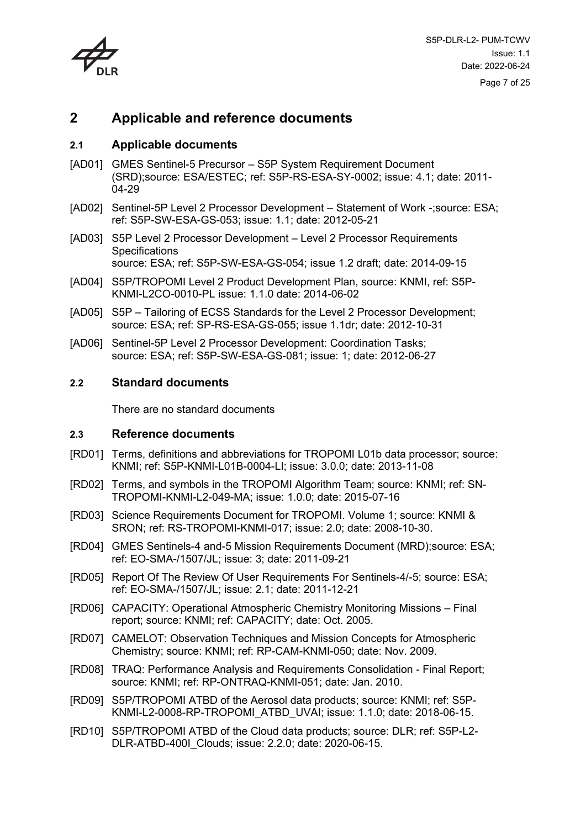

## <span id="page-6-0"></span>**2 Applicable and reference documents**

#### <span id="page-6-1"></span>**2.1 Applicable documents**

- [AD01] GMES Sentinel-5 Precursor S5P System Requirement Document (SRD);source: ESA/ESTEC; ref: S5P-RS-ESA-SY-0002; issue: 4.1; date: 2011- 04-29
- [AD02] Sentinel-5P Level 2 Processor Development Statement of Work -;source: ESA; ref: S5P-SW-ESA-GS-053; issue: 1.1; date: 2012-05-21
- [AD03] S5P Level 2 Processor Development Level 2 Processor Requirements **Specifications** source: ESA; ref: S5P-SW-ESA-GS-054; issue 1.2 draft; date: 2014-09-15
- [AD04] S5P/TROPOMI Level 2 Product Development Plan, source: KNMI, ref: S5P-KNMI-L2CO-0010-PL issue: 1.1.0 date: 2014-06-02
- [AD05] S5P Tailoring of ECSS Standards for the Level 2 Processor Development; source: ESA; ref: SP-RS-ESA-GS-055; issue 1.1dr; date: 2012-10-31
- [AD06] Sentinel-5P Level 2 Processor Development: Coordination Tasks; source: ESA; ref: S5P-SW-ESA-GS-081; issue: 1; date: 2012-06-27

#### **2.2 Standard documents**

<span id="page-6-3"></span><span id="page-6-2"></span>There are no standard documents

#### **2.3 Reference documents**

- <span id="page-6-4"></span>[RD01] Terms, definitions and abbreviations for TROPOMI L01b data processor; source: KNMI; ref: S5P-KNMI-L01B-0004-LI; issue: 3.0.0; date: 2013-11-08
- <span id="page-6-5"></span>[RD02] Terms, and symbols in the TROPOMI Algorithm Team; source: KNMI; ref: SN-TROPOMI-KNMI-L2-049-MA; issue: 1.0.0; date: 2015-07-16
- [RD03] Science Requirements Document for TROPOMI. Volume 1; source: KNMI & SRON; ref: RS-TROPOMI-KNMI-017; issue: 2.0; date: 2008-10-30.
- [RD04] GMES Sentinels-4 and-5 Mission Requirements Document (MRD);source: ESA; ref: EO-SMA-/1507/JL; issue: 3; date: 2011-09-21
- [RD05] Report Of The Review Of User Requirements For Sentinels-4/-5; source: ESA; ref: EO-SMA-/1507/JL; issue: 2.1; date: 2011-12-21
- [RD06] CAPACITY: Operational Atmospheric Chemistry Monitoring Missions Final report; source: KNMI; ref: CAPACITY; date: Oct. 2005.
- [RD07] CAMELOT: Observation Techniques and Mission Concepts for Atmospheric Chemistry; source: KNMI; ref: RP-CAM-KNMI-050; date: Nov. 2009.
- [RD08] TRAQ: Performance Analysis and Requirements Consolidation Final Report; source: KNMI; ref: RP-ONTRAQ-KNMI-051; date: Jan. 2010.
- [RD09] S5P/TROPOMI ATBD of the Aerosol data products; source: KNMI; ref: S5P-KNMI-L2-0008-RP-TROPOMI\_ATBD\_UVAI; issue: 1.1.0; date: 2018-06-15.
- [RD10] S5P/TROPOMI ATBD of the Cloud data products; source: DLR; ref: S5P-L2- DLR-ATBD-400I\_Clouds; issue: 2.2.0; date: 2020-06-15.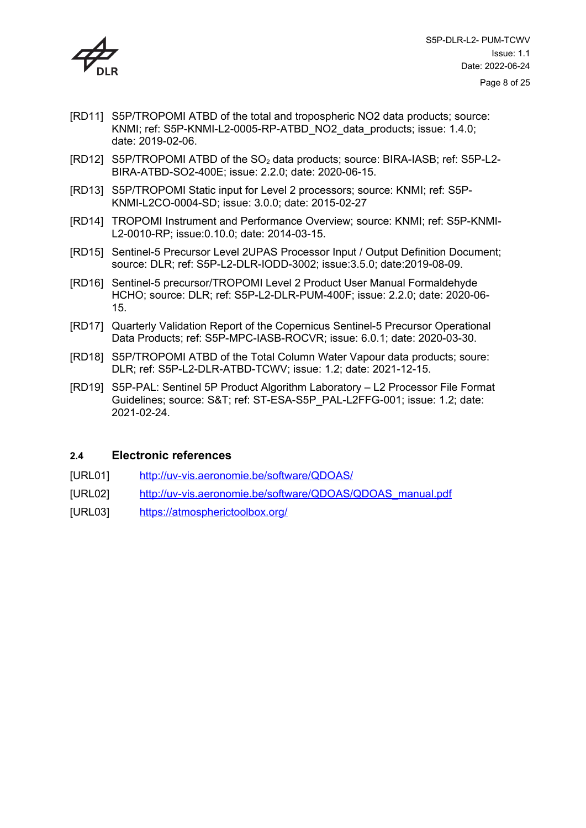

- [RD11] S5P/TROPOMI ATBD of the total and tropospheric NO2 data products; source: KNMI; ref: S5P-KNMI-L2-0005-RP-ATBD\_NO2\_data\_products; issue: 1.4.0; date: 2019-02-06.
- [RD12] S5P/TROPOMI ATBD of the SO2 data products; source: BIRA-IASB; ref: S5P-L2- BIRA-ATBD-SO2-400E; issue: 2.2.0; date: 2020-06-15.
- [RD13] S5P/TROPOMI Static input for Level 2 processors; source: KNMI; ref: S5P-KNMI-L2CO-0004-SD; issue: 3.0.0; date: 2015-02-27
- [RD14] TROPOMI Instrument and Performance Overview; source: KNMI; ref: S5P-KNMI-L2-0010-RP; issue:0.10.0; date: 2014-03-15.
- [RD15] Sentinel-5 Precursor Level 2UPAS Processor Input / Output Definition Document; source: DLR; ref: S5P-L2-DLR-IODD-3002; issue:3.5.0; date:2019-08-09.
- [RD16] Sentinel-5 precursor/TROPOMI Level 2 Product User Manual Formaldehyde HCHO; source: DLR; ref: S5P-L2-DLR-PUM-400F; issue: 2.2.0; date: 2020-06- 15.
- [RD17] Quarterly Validation Report of the Copernicus Sentinel-5 Precursor Operational Data Products; ref: S5P-MPC-IASB-ROCVR; issue: 6.0.1; date: 2020-03-30.
- [RD18] S5P/TROPOMI ATBD of the Total Column Water Vapour data products; soure: DLR; ref: S5P-L2-DLR-ATBD-TCWV; issue: 1.2; date: 2021-12-15.
- [RD19] S5P-PAL: Sentinel 5P Product Algorithm Laboratory L2 Processor File Format Guidelines; source: S&T; ref: ST-ESA-S5P\_PAL-L2FFG-001; issue: 1.2; date: 2021-02-24.

#### <span id="page-7-0"></span>**2.4 Electronic references**

- [URL01] <http://uv-vis.aeronomie.be/software/QDOAS/>
- [URL02] [http://uv-vis.aeronomie.be/software/QDOAS/QDOAS\\_manual.pdf](http://uv-vis.aeronomie.be/software/QDOAS/QDOAS_manual.pdf)
- [URL03] <https://atmospherictoolbox.org/>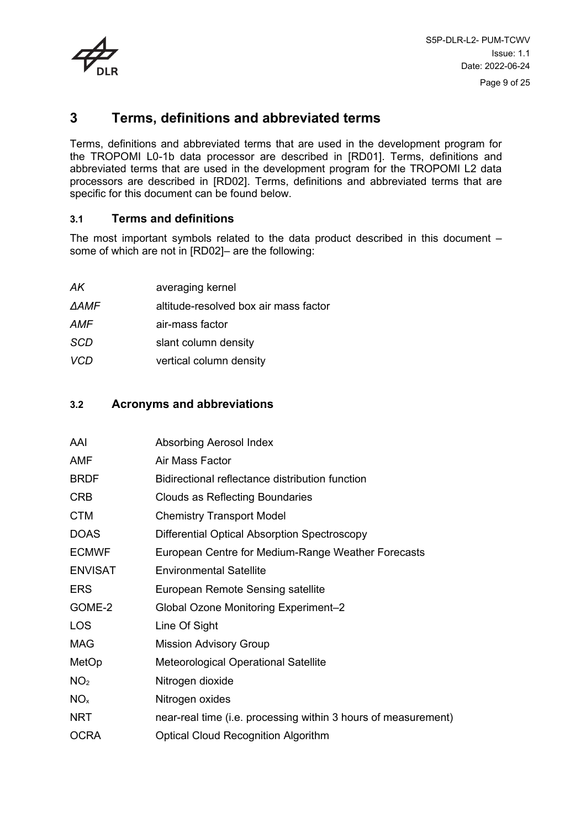

## <span id="page-8-0"></span>**3 Terms, definitions and abbreviated terms**

Terms, definitions and abbreviated terms that are used in the development program for the TROPOMI L0-1b data processor are described in [\[RD01\]](#page-6-4). Terms, definitions and abbreviated terms that are used in the development program for the TROPOMI L2 data processors are described in [\[RD02\]](#page-6-5). Terms, definitions and abbreviated terms that are specific for this document can be found below.

#### <span id="page-8-1"></span>**3.1 Terms and definitions**

The most important symbols related to the data product described in this document – some of which are not in [\[RD02\]–](#page-6-5) are the following:

| АK         | averaging kernel                      |
|------------|---------------------------------------|
| ΔAMF       | altitude-resolved box air mass factor |
| AMF        | air-mass factor                       |
| <b>SCD</b> | slant column density                  |
| <b>VCD</b> | vertical column density               |

#### <span id="page-8-2"></span>**3.2 Acronyms and abbreviations**

| AAI             | Absorbing Aerosol Index                                        |
|-----------------|----------------------------------------------------------------|
| AMF             | Air Mass Factor                                                |
| <b>BRDF</b>     | Bidirectional reflectance distribution function                |
| <b>CRB</b>      | Clouds as Reflecting Boundaries                                |
| <b>CTM</b>      | <b>Chemistry Transport Model</b>                               |
| <b>DOAS</b>     | Differential Optical Absorption Spectroscopy                   |
| <b>ECMWF</b>    | European Centre for Medium-Range Weather Forecasts             |
| <b>ENVISAT</b>  | <b>Environmental Satellite</b>                                 |
| ERS             | European Remote Sensing satellite                              |
| GOME-2          | Global Ozone Monitoring Experiment-2                           |
| LOS             | Line Of Sight                                                  |
| MAG             | <b>Mission Advisory Group</b>                                  |
| MetOp           | <b>Meteorological Operational Satellite</b>                    |
| NO <sub>2</sub> | Nitrogen dioxide                                               |
| NO <sub>x</sub> | Nitrogen oxides                                                |
| NRT             | near-real time (i.e. processing within 3 hours of measurement) |
| <b>OCRA</b>     | <b>Optical Cloud Recognition Algorithm</b>                     |
|                 |                                                                |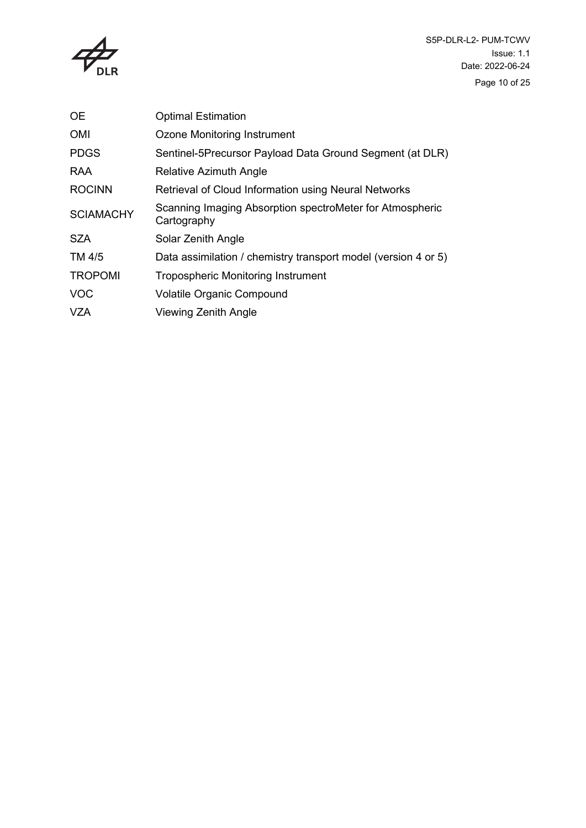

| <b>OE</b>        | <b>Optimal Estimation</b>                                               |
|------------------|-------------------------------------------------------------------------|
| <b>OMI</b>       | Ozone Monitoring Instrument                                             |
| <b>PDGS</b>      | Sentinel-5Precursor Payload Data Ground Segment (at DLR)                |
| RAA              | Relative Azimuth Angle                                                  |
| <b>ROCINN</b>    | Retrieval of Cloud Information using Neural Networks                    |
| <b>SCIAMACHY</b> | Scanning Imaging Absorption spectroMeter for Atmospheric<br>Cartography |
| <b>SZA</b>       | Solar Zenith Angle                                                      |
| TM 4/5           | Data assimilation / chemistry transport model (version 4 or 5)          |
| <b>TROPOMI</b>   | <b>Tropospheric Monitoring Instrument</b>                               |
| <b>VOC</b>       | <b>Volatile Organic Compound</b>                                        |
| VZA              | <b>Viewing Zenith Angle</b>                                             |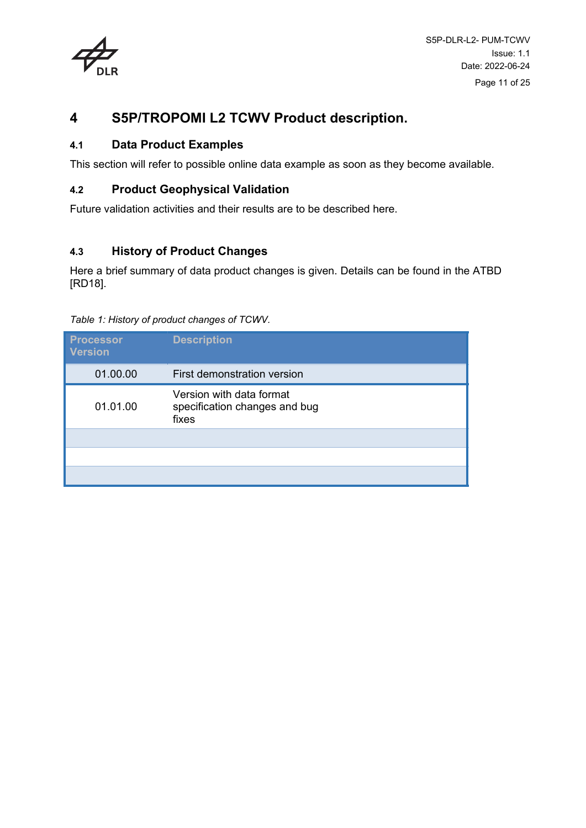

## <span id="page-10-0"></span>**4 S5P/TROPOMI L2 TCWV Product description.**

#### <span id="page-10-1"></span>**4.1 Data Product Examples**

This section will refer to possible online data example as soon as they become available.

#### <span id="page-10-2"></span>**4.2 Product Geophysical Validation**

Future validation activities and their results are to be described here.

### <span id="page-10-3"></span>**4.3 History of Product Changes**

Here a brief summary of data product changes is given. Details can be found in the ATBD [RD18].

| <b>Processor</b><br><b>Version</b> | <b>Description</b>                                                 |
|------------------------------------|--------------------------------------------------------------------|
| 01.00.00                           | First demonstration version                                        |
| 01.01.00                           | Version with data format<br>specification changes and bug<br>fixes |
|                                    |                                                                    |
|                                    |                                                                    |
|                                    |                                                                    |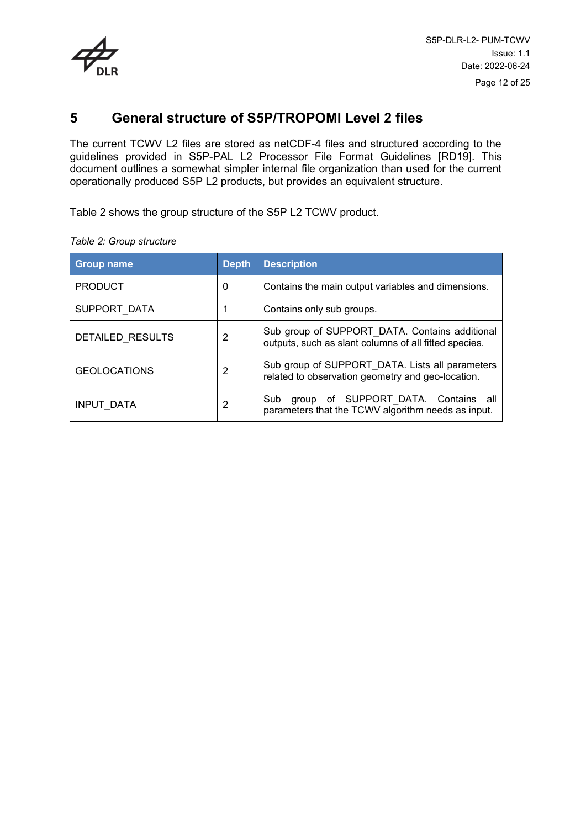

### <span id="page-11-0"></span>**5 General structure of S5P/TROPOMI Level 2 files**

The current TCWV L2 files are stored as netCDF-4 files and structured according to the guidelines provided in S5P-PAL L2 Processor File Format Guidelines [RD19]. This document outlines a somewhat simpler internal file organization than used for the current operationally produced S5P L2 products, but provides an equivalent structure.

[Table 2](#page-11-1) shows the group structure of the S5P L2 TCWV product.

| <b>Group name</b>   | <b>Depth</b> | <b>Description</b>                                                                                      |
|---------------------|--------------|---------------------------------------------------------------------------------------------------------|
| <b>PRODUCT</b>      | 0            | Contains the main output variables and dimensions.                                                      |
| SUPPORT DATA        |              | Contains only sub groups.                                                                               |
| DETAILED RESULTS    | 2            | Sub group of SUPPORT_DATA. Contains additional<br>outputs, such as slant columns of all fitted species. |
| <b>GEOLOCATIONS</b> | 2            | Sub group of SUPPORT_DATA. Lists all parameters<br>related to observation geometry and geo-location.    |
| INPUT DATA          | 2            | SUPPORT DATA. Contains all<br>Sub<br>οf<br>group<br>parameters that the TCWV algorithm needs as input.  |

<span id="page-11-1"></span>*Table 2: Group structure*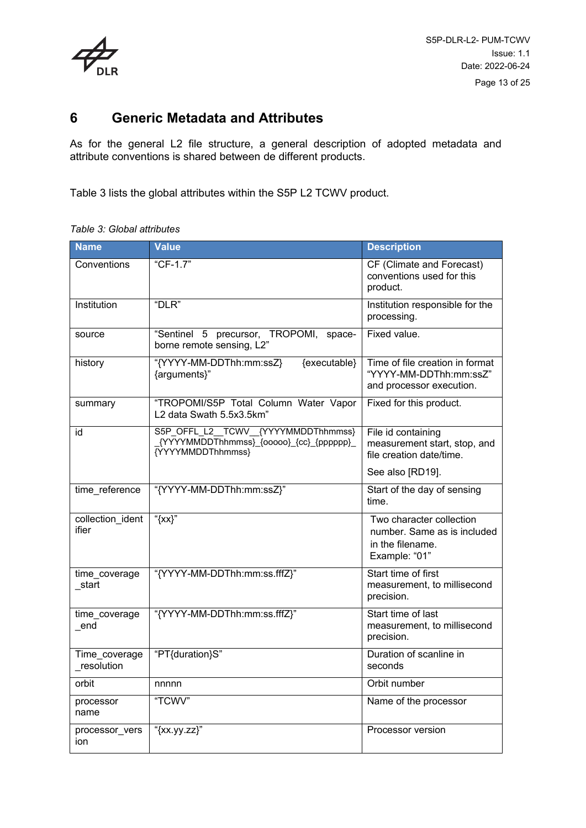

### <span id="page-12-0"></span>**6 Generic Metadata and Attributes**

As for the general L2 file structure, a general description of adopted metadata and attribute conventions is shared between de different products.

[Table 3](#page-12-1) lists the global attributes within the S5P L2 TCWV product.

<span id="page-12-1"></span>*Table 3: Global attributes*

| <b>Name</b>                 | <b>Value</b>                                                                                          | <b>Description</b>                                                                           |
|-----------------------------|-------------------------------------------------------------------------------------------------------|----------------------------------------------------------------------------------------------|
| Conventions                 | "CF-1.7"                                                                                              | CF (Climate and Forecast)<br>conventions used for this<br>product.                           |
| Institution                 | "DLR"                                                                                                 | Institution responsible for the<br>processing.                                               |
| source                      | "Sentinel 5 precursor, TROPOMI,<br>space-<br>borne remote sensing, L2"                                | Fixed value.                                                                                 |
| history                     | "{YYYY-MM-DDThh:mm:ssZ}<br>{executable}<br>{arguments}"                                               | Time of file creation in format<br>"YYYY-MM-DDThh:mm:ssZ"<br>and processor execution.        |
| summary                     | "TROPOMI/S5P Total Column Water Vapor<br>L2 data Swath 5.5x3.5km"                                     | Fixed for this product.                                                                      |
| id                          | S5P_OFFL_L2__TCWV__{YYYYMMDDThhmmss}<br>{YYYYMMDDThhmmss}_{00000}_{cc}_{pppppp}_<br>{YYYYMMDDThhmmss} | File id containing<br>measurement start, stop, and<br>file creation date/time.               |
|                             |                                                                                                       | See also [RD19].                                                                             |
| time reference              | "{YYYY-MM-DDThh:mm:ssZ}"                                                                              | Start of the day of sensing<br>time.                                                         |
| collection_ident<br>ifier   | " $\{xx\}$ "                                                                                          | Two character collection<br>number. Same as is included<br>in the filename.<br>Example: "01" |
| time_coverage<br>_start     | "{YYYY-MM-DDThh:mm:ss.fffZ}"                                                                          | Start time of first<br>measurement, to millisecond<br>precision.                             |
| time_coverage<br>end        | "{YYYY-MM-DDThh:mm:ss.fffZ}"                                                                          | Start time of last<br>measurement, to millisecond<br>precision.                              |
| Time_coverage<br>resolution | "PT{duration}S"                                                                                       | Duration of scanline in<br>seconds                                                           |
| orbit                       | nnnnn                                                                                                 | Orbit number                                                                                 |
| processor<br>name           | "TCWV"                                                                                                | Name of the processor                                                                        |
| processor_vers<br>ion       | "{xx.yy.zz}"                                                                                          | Processor version                                                                            |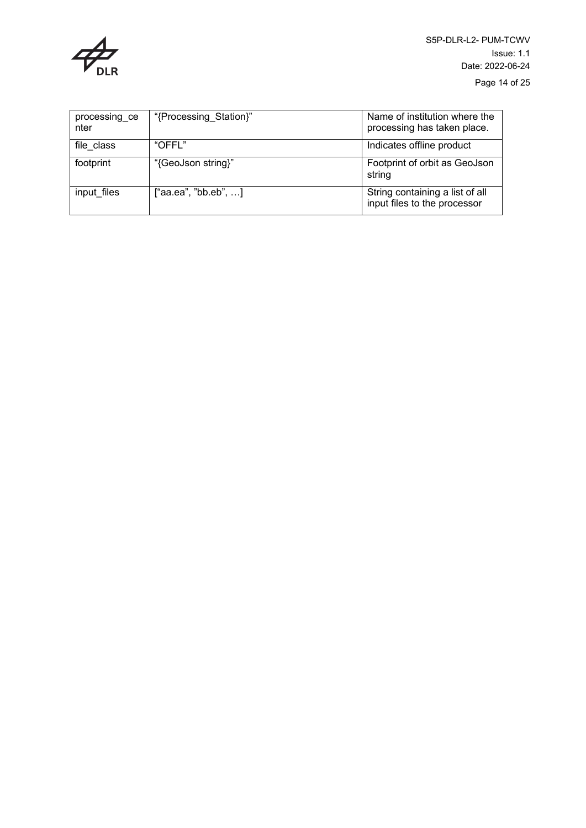

| processing_ce<br>nter | "{Processing Station}" | Name of institution where the<br>processing has taken place.    |
|-----------------------|------------------------|-----------------------------------------------------------------|
| file class            | "OFFL"                 | Indicates offline product                                       |
| footprint             | "{GeoJson string}"     | Footprint of orbit as GeoJson<br>string                         |
| input files           | ["aa.ea", "bb.eb", ]   | String containing a list of all<br>input files to the processor |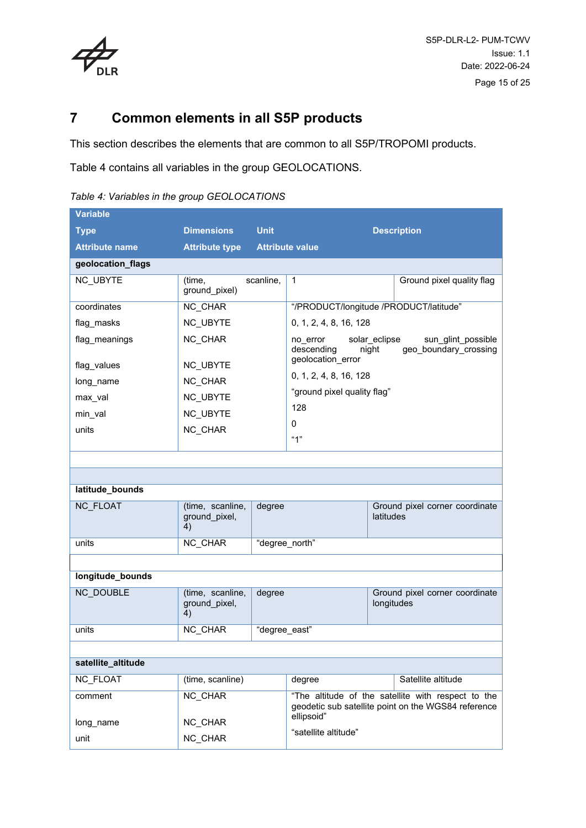

## <span id="page-14-0"></span>**7 Common elements in all S5P products**

This section describes the elements that are common to all S5P/TROPOMI products.

[Table 4](#page-14-1) contains all variables in the group GEOLOCATIONS.

<span id="page-14-1"></span>

|  |  | Table 4: Variables in the group GEOLOCATIONS |
|--|--|----------------------------------------------|
|  |  |                                              |

| <b>Variable</b>       |                                         |                |                                        |                        |                                                     |
|-----------------------|-----------------------------------------|----------------|----------------------------------------|------------------------|-----------------------------------------------------|
| <b>Type</b>           | <b>Dimensions</b>                       | <b>Unit</b>    |                                        |                        | <b>Description</b>                                  |
| <b>Attribute name</b> | <b>Attribute type</b>                   |                | <b>Attribute value</b>                 |                        |                                                     |
| geolocation_flags     |                                         |                |                                        |                        |                                                     |
| NC_UBYTE              | (time,<br>ground_pixel)                 | scanline.      | $\mathbf{1}$                           |                        | Ground pixel quality flag                           |
| coordinates           | NC CHAR                                 |                | "/PRODUCT/longitude /PRODUCT/latitude" |                        |                                                     |
| flag masks            | <b>NC UBYTE</b>                         |                | 0, 1, 2, 4, 8, 16, 128                 |                        |                                                     |
| flag_meanings         | NC CHAR                                 |                | no_error<br>descending                 | solar_eclipse<br>night | sun_glint_possible<br>geo boundary crossing         |
| flag_values           | <b>NC UBYTE</b>                         |                | geolocation_error                      |                        |                                                     |
| long_name             | NC CHAR                                 |                | 0, 1, 2, 4, 8, 16, 128                 |                        |                                                     |
| max_val               | NC_UBYTE                                |                | "ground pixel quality flag"            |                        |                                                     |
| min_val               | NC_UBYTE                                |                | 128                                    |                        |                                                     |
| units                 | NC CHAR                                 |                | 0                                      |                        |                                                     |
|                       |                                         |                | "1"                                    |                        |                                                     |
|                       |                                         |                |                                        |                        |                                                     |
|                       |                                         |                |                                        |                        |                                                     |
| latitude_bounds       |                                         |                |                                        |                        |                                                     |
| <b>NC FLOAT</b>       | (time, scanline,<br>ground_pixel,<br>4) | degree         |                                        | latitudes              | Ground pixel corner coordinate                      |
| units                 | NC_CHAR                                 | "degree_north" |                                        |                        |                                                     |
|                       |                                         |                |                                        |                        |                                                     |
| longitude_bounds      |                                         |                |                                        |                        |                                                     |
| <b>NC DOUBLE</b>      | (time, scanline,<br>ground_pixel,<br>4) | degree         |                                        | longitudes             | Ground pixel corner coordinate                      |
| units                 | <b>NC CHAR</b>                          | "degree east"  |                                        |                        |                                                     |
|                       |                                         |                |                                        |                        |                                                     |
| satellite_altitude    |                                         |                |                                        |                        |                                                     |
| NC_FLOAT              | (time, scanline)                        |                | degree                                 |                        | Satellite altitude                                  |
| comment               | NC CHAR                                 |                |                                        |                        | "The altitude of the satellite with respect to the  |
| long name             | NC CHAR                                 |                | ellipsoid"                             |                        | geodetic sub satellite point on the WGS84 reference |
| unit                  | NC_CHAR                                 |                | "satellite altitude"                   |                        |                                                     |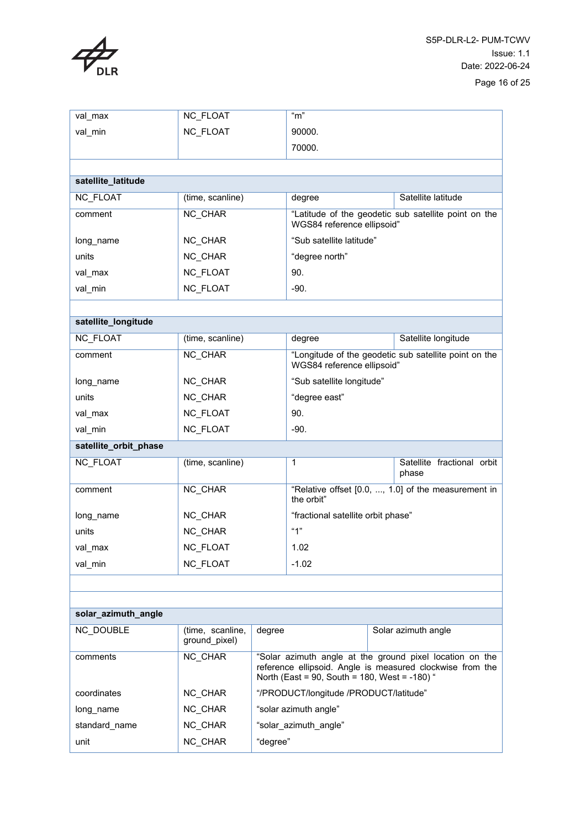

| val_max               | NC_FLOAT                          |                                                                                                                                                                        | "m"                                    |  |                                                       |
|-----------------------|-----------------------------------|------------------------------------------------------------------------------------------------------------------------------------------------------------------------|----------------------------------------|--|-------------------------------------------------------|
| val_min               | <b>NC FLOAT</b>                   |                                                                                                                                                                        | 90000.                                 |  |                                                       |
|                       |                                   |                                                                                                                                                                        | 70000.                                 |  |                                                       |
|                       |                                   |                                                                                                                                                                        |                                        |  |                                                       |
| satellite_latitude    |                                   |                                                                                                                                                                        |                                        |  |                                                       |
| <b>NC FLOAT</b>       | (time, scanline)                  |                                                                                                                                                                        | degree                                 |  | Satellite latitude                                    |
| comment               | NC CHAR                           |                                                                                                                                                                        | WGS84 reference ellipsoid"             |  | "Latitude of the geodetic sub satellite point on the  |
| long_name             | NC CHAR                           |                                                                                                                                                                        | "Sub satellite latitude"               |  |                                                       |
| units                 | NC_CHAR                           |                                                                                                                                                                        | "degree north"                         |  |                                                       |
| val_max               | NC_FLOAT                          |                                                                                                                                                                        | 90.                                    |  |                                                       |
| val_min               | NC_FLOAT                          |                                                                                                                                                                        | $-90.$                                 |  |                                                       |
|                       |                                   |                                                                                                                                                                        |                                        |  |                                                       |
| satellite_longitude   |                                   |                                                                                                                                                                        |                                        |  |                                                       |
| NC_FLOAT              | (time, scanline)                  |                                                                                                                                                                        | degree                                 |  | Satellite longitude                                   |
| comment               | NC CHAR                           |                                                                                                                                                                        | WGS84 reference ellipsoid"             |  | "Longitude of the geodetic sub satellite point on the |
| long name             | NC_CHAR                           |                                                                                                                                                                        | "Sub satellite longitude"              |  |                                                       |
| units                 | NC_CHAR                           |                                                                                                                                                                        | "degree east"                          |  |                                                       |
| val_max               | NC_FLOAT                          |                                                                                                                                                                        | 90.                                    |  |                                                       |
| val_min               | NC_FLOAT                          |                                                                                                                                                                        | -90.                                   |  |                                                       |
| satellite_orbit_phase |                                   |                                                                                                                                                                        |                                        |  |                                                       |
| NC_FLOAT              | (time, scanline)                  |                                                                                                                                                                        | 1                                      |  | Satellite fractional orbit<br>phase                   |
| comment               | NC_CHAR                           |                                                                                                                                                                        | the orbit"                             |  | "Relative offset [0.0, , 1.0] of the measurement in   |
| long name             | NC CHAR                           |                                                                                                                                                                        | "fractional satellite orbit phase"     |  |                                                       |
| units                 | NC_CHAR                           |                                                                                                                                                                        | "1"                                    |  |                                                       |
| val_max               | NC_FLOAT                          |                                                                                                                                                                        | 1.02                                   |  |                                                       |
| val_min               | NC_FLOAT                          |                                                                                                                                                                        | $-1.02$                                |  |                                                       |
|                       |                                   |                                                                                                                                                                        |                                        |  |                                                       |
|                       |                                   |                                                                                                                                                                        |                                        |  |                                                       |
| solar_azimuth_angle   |                                   |                                                                                                                                                                        |                                        |  |                                                       |
| <b>NC DOUBLE</b>      | (time, scanline,<br>ground pixel) | degree                                                                                                                                                                 | Solar azimuth angle                    |  |                                                       |
| comments              | NC_CHAR                           | "Solar azimuth angle at the ground pixel location on the<br>reference ellipsoid. Angle is measured clockwise from the<br>North (East = 90, South = 180, West = -180) " |                                        |  |                                                       |
| coordinates           | NC CHAR                           |                                                                                                                                                                        | "/PRODUCT/longitude /PRODUCT/latitude" |  |                                                       |
| long name             | NC CHAR                           |                                                                                                                                                                        | "solar azimuth angle"                  |  |                                                       |
| standard_name         | NC_CHAR                           |                                                                                                                                                                        | "solar azimuth angle"                  |  |                                                       |
| unit                  | NC_CHAR<br>"degree"               |                                                                                                                                                                        |                                        |  |                                                       |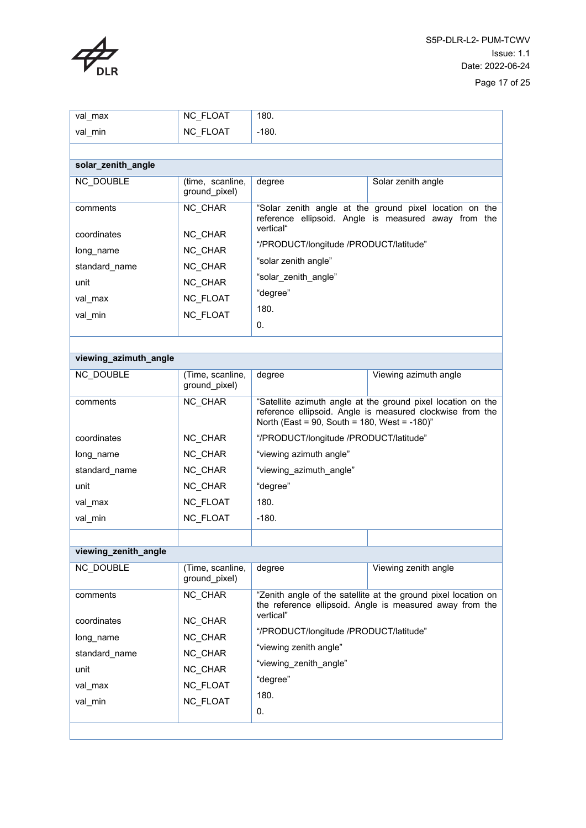

| val max                                                                             | NC_FLOAT                                                                           | 180.                                                                                                                                                                      |                                                                                                                            |  |  |
|-------------------------------------------------------------------------------------|------------------------------------------------------------------------------------|---------------------------------------------------------------------------------------------------------------------------------------------------------------------------|----------------------------------------------------------------------------------------------------------------------------|--|--|
| val_min                                                                             | NC_FLOAT                                                                           | $-180.$                                                                                                                                                                   |                                                                                                                            |  |  |
|                                                                                     |                                                                                    |                                                                                                                                                                           |                                                                                                                            |  |  |
| solar_zenith_angle                                                                  |                                                                                    |                                                                                                                                                                           |                                                                                                                            |  |  |
| NC DOUBLE                                                                           | (time, scanline,<br>ground_pixel)                                                  | degree                                                                                                                                                                    | Solar zenith angle                                                                                                         |  |  |
| comments<br>coordinates<br>long_name<br>standard name<br>unit<br>val max<br>val min | NC CHAR<br>NC_CHAR<br>NC_CHAR<br>NC CHAR<br>NC CHAR<br><b>NC FLOAT</b><br>NC_FLOAT | vertical"<br>"/PRODUCT/longitude /PRODUCT/latitude"<br>"solar zenith angle"<br>"solar_zenith_angle"<br>"degree"<br>180.<br>0.                                             | "Solar zenith angle at the ground pixel location on the<br>reference ellipsoid. Angle is measured away from the            |  |  |
|                                                                                     |                                                                                    |                                                                                                                                                                           |                                                                                                                            |  |  |
| viewing_azimuth_angle                                                               |                                                                                    |                                                                                                                                                                           |                                                                                                                            |  |  |
| <b>NC DOUBLE</b>                                                                    | (Time, scanline,<br>ground_pixel)                                                  | degree                                                                                                                                                                    | Viewing azimuth angle                                                                                                      |  |  |
| comments                                                                            | NC CHAR                                                                            | "Satellite azimuth angle at the ground pixel location on the<br>reference ellipsoid. Angle is measured clockwise from the<br>North (East = 90, South = 180, West = -180)" |                                                                                                                            |  |  |
| coordinates                                                                         | NC CHAR                                                                            | "/PRODUCT/longitude /PRODUCT/latitude"                                                                                                                                    |                                                                                                                            |  |  |
| long name                                                                           | NC_CHAR                                                                            | "viewing azimuth angle"                                                                                                                                                   |                                                                                                                            |  |  |
| standard_name                                                                       | NC_CHAR                                                                            | "viewing_azimuth_angle"                                                                                                                                                   |                                                                                                                            |  |  |
| unit                                                                                | NC CHAR                                                                            | "degree"                                                                                                                                                                  |                                                                                                                            |  |  |
| val max                                                                             | NC_FLOAT                                                                           | 180.                                                                                                                                                                      |                                                                                                                            |  |  |
| val_min                                                                             | NC_FLOAT                                                                           | $-180.$                                                                                                                                                                   |                                                                                                                            |  |  |
|                                                                                     |                                                                                    |                                                                                                                                                                           |                                                                                                                            |  |  |
| viewing_zenith_angle                                                                |                                                                                    |                                                                                                                                                                           |                                                                                                                            |  |  |
| <b>NC DOUBLE</b>                                                                    | (Time, scanline,<br>ground_pixel)                                                  | degree                                                                                                                                                                    | Viewing zenith angle                                                                                                       |  |  |
| comments                                                                            | NC CHAR                                                                            | vertical"                                                                                                                                                                 | "Zenith angle of the satellite at the ground pixel location on<br>the reference ellipsoid. Angle is measured away from the |  |  |
| coordinates                                                                         | NC CHAR                                                                            | "/PRODUCT/longitude /PRODUCT/latitude"                                                                                                                                    |                                                                                                                            |  |  |
| long_name                                                                           | NC CHAR                                                                            | "viewing zenith angle"                                                                                                                                                    |                                                                                                                            |  |  |
| standard name                                                                       | NC_CHAR                                                                            | "viewing_zenith_angle"                                                                                                                                                    |                                                                                                                            |  |  |
| unit                                                                                | NC CHAR                                                                            |                                                                                                                                                                           |                                                                                                                            |  |  |
| val_max                                                                             | NC_FLOAT                                                                           | "degree"                                                                                                                                                                  |                                                                                                                            |  |  |
| val_min                                                                             | <b>NC FLOAT</b>                                                                    | 180.                                                                                                                                                                      |                                                                                                                            |  |  |
|                                                                                     |                                                                                    | 0.                                                                                                                                                                        |                                                                                                                            |  |  |
|                                                                                     |                                                                                    |                                                                                                                                                                           |                                                                                                                            |  |  |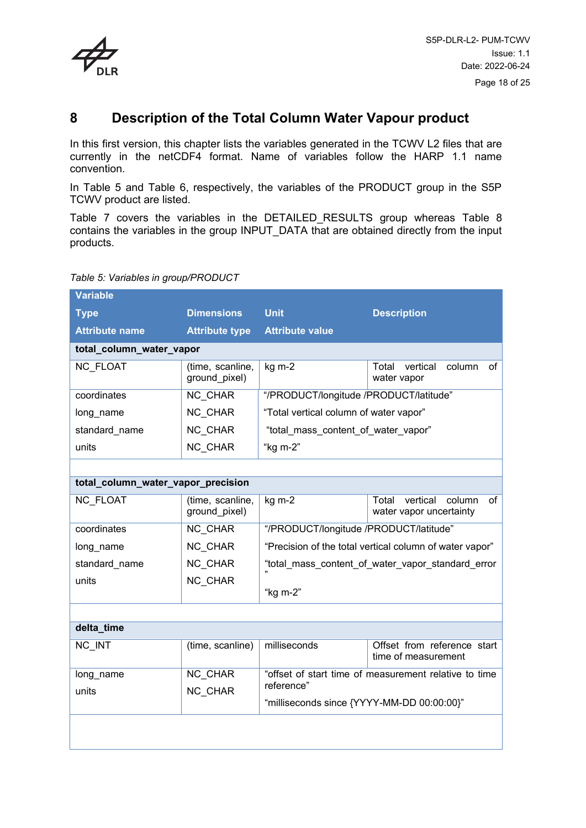

## <span id="page-17-0"></span>**8 Description of the Total Column Water Vapour product**

In this first version, this chapter lists the variables generated in the TCWV L2 files that are currently in the netCDF4 format. Name of variables follow the HARP 1.1 name convention.

In [Table 5](#page-17-1) and [Table 6,](#page-18-0) respectively, the variables of the PRODUCT group in the S5P TCWV product are listed.

[Table 7](#page-20-0) covers the variables in the DETAILED\_RESULTS group whereas [Table 8](#page-22-0) contains the variables in the group INPUT\_DATA that are obtained directly from the input products.

#### <span id="page-17-1"></span>*Table 5: Variables in group/PRODUCT*

| <b>Variable</b>                    |                                   |                                                       |                                                              |  |  |  |
|------------------------------------|-----------------------------------|-------------------------------------------------------|--------------------------------------------------------------|--|--|--|
| <b>Type</b>                        | <b>Dimensions</b>                 | <b>Unit</b>                                           | <b>Description</b>                                           |  |  |  |
| <b>Attribute name</b>              | <b>Attribute type</b>             | <b>Attribute value</b>                                |                                                              |  |  |  |
| total_column_water_vapor           |                                   |                                                       |                                                              |  |  |  |
| <b>NC FLOAT</b>                    | (time, scanline,<br>ground_pixel) | kg m-2                                                | vertical<br>column<br>Total<br>of<br>water vapor             |  |  |  |
| coordinates                        | NC_CHAR                           | "/PRODUCT/longitude /PRODUCT/latitude"                |                                                              |  |  |  |
| long_name                          | NC CHAR                           | "Total vertical column of water vapor"                |                                                              |  |  |  |
| standard name                      | NC CHAR                           | "total_mass_content_of_water_vapor"                   |                                                              |  |  |  |
| units                              | NC CHAR                           | "kg m-2"                                              |                                                              |  |  |  |
|                                    |                                   |                                                       |                                                              |  |  |  |
| total_column_water_vapor_precision |                                   |                                                       |                                                              |  |  |  |
| <b>NC FLOAT</b>                    | (time, scanline,<br>ground_pixel) | kg m-2                                                | vertical<br>Total<br>column<br>of<br>water vapor uncertainty |  |  |  |
| coordinates                        | NC CHAR                           | "/PRODUCT/longitude /PRODUCT/latitude"                |                                                              |  |  |  |
| long_name                          | NC_CHAR                           |                                                       | "Precision of the total vertical column of water vapor"      |  |  |  |
| standard_name                      | NC_CHAR                           |                                                       | "total_mass_content_of_water_vapor_standard_error            |  |  |  |
| units                              | NC_CHAR                           | "kg m-2"                                              |                                                              |  |  |  |
|                                    |                                   |                                                       |                                                              |  |  |  |
| delta_time                         |                                   |                                                       |                                                              |  |  |  |
| NC INT                             | (time, scanline)                  | milliseconds                                          | Offset from reference start<br>time of measurement           |  |  |  |
| long_name                          | NC_CHAR                           | "offset of start time of measurement relative to time |                                                              |  |  |  |
| units                              | NC CHAR                           | reference"                                            |                                                              |  |  |  |
|                                    |                                   | "milliseconds since {YYYY-MM-DD 00:00:00}"            |                                                              |  |  |  |
|                                    |                                   |                                                       |                                                              |  |  |  |
|                                    |                                   |                                                       |                                                              |  |  |  |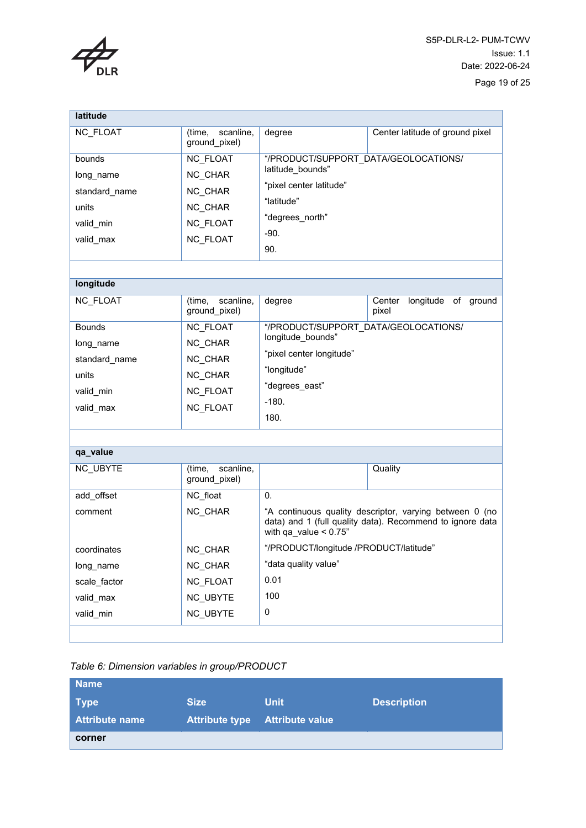

| latitude                   |                                      |                                                           |                                                                                                                      |  |  |
|----------------------------|--------------------------------------|-----------------------------------------------------------|----------------------------------------------------------------------------------------------------------------------|--|--|
| <b>NC FLOAT</b>            | scanline,<br>(time,<br>ground pixel) | degree                                                    | Center latitude of ground pixel                                                                                      |  |  |
| bounds<br>long name        | NC_FLOAT<br>NC CHAR                  | "/PRODUCT/SUPPORT_DATA/GEOLOCATIONS/<br>latitude bounds"  |                                                                                                                      |  |  |
| standard_name<br>units     | NC CHAR<br>NC CHAR                   | "pixel center latitude"<br>"latitude"<br>"degrees_north"  |                                                                                                                      |  |  |
| valid_min<br>valid_max     | NC_FLOAT<br><b>NC FLOAT</b>          | $-90.$<br>90.                                             |                                                                                                                      |  |  |
|                            |                                      |                                                           |                                                                                                                      |  |  |
| longitude                  |                                      |                                                           |                                                                                                                      |  |  |
| NC_FLOAT                   | scanline.<br>(time,<br>ground_pixel) | degree                                                    | Center<br>longitude of ground<br>pixel                                                                               |  |  |
| <b>Bounds</b>              | NC_FLOAT<br>NC_CHAR                  | "/PRODUCT/SUPPORT DATA/GEOLOCATIONS/<br>longitude bounds" |                                                                                                                      |  |  |
| long_name<br>standard_name | NC_CHAR                              | "pixel center longitude"                                  |                                                                                                                      |  |  |
| units                      | NC CHAR                              | "longitude"<br>"degrees_east"                             |                                                                                                                      |  |  |
| valid min<br>valid_max     | <b>NC FLOAT</b><br>NC_FLOAT          | $-180.$<br>180.                                           |                                                                                                                      |  |  |
|                            |                                      |                                                           |                                                                                                                      |  |  |
| qa_value                   |                                      |                                                           |                                                                                                                      |  |  |
| NC_UBYTE                   | scanline,<br>(time,<br>ground pixel) |                                                           | Quality                                                                                                              |  |  |
| add_offset                 | NC_float                             | 0.                                                        |                                                                                                                      |  |  |
| comment                    | NC CHAR                              | with qa value $< 0.75$ "                                  | "A continuous quality descriptor, varying between 0 (no<br>data) and 1 (full quality data). Recommend to ignore data |  |  |
| coordinates                | NC_CHAR                              | "/PRODUCT/longitude /PRODUCT/latitude"                    |                                                                                                                      |  |  |
| long_name                  | NC_CHAR                              | "data quality value"                                      |                                                                                                                      |  |  |
| scale_factor               | NC_FLOAT                             | 0.01                                                      |                                                                                                                      |  |  |
| valid_max                  | NC_UBYTE                             | 100                                                       |                                                                                                                      |  |  |
| valid_min                  | NC_UBYTE                             | 0                                                         |                                                                                                                      |  |  |
|                            |                                      |                                                           |                                                                                                                      |  |  |

#### <span id="page-18-0"></span>*Table 6: Dimension variables in group/PRODUCT*

| <b>Name</b>           |             |                                |                    |
|-----------------------|-------------|--------------------------------|--------------------|
| <b>Type</b>           | <b>Size</b> | <b>Unit</b>                    | <b>Description</b> |
| <b>Attribute name</b> |             | Attribute type Attribute value |                    |
| corner                |             |                                |                    |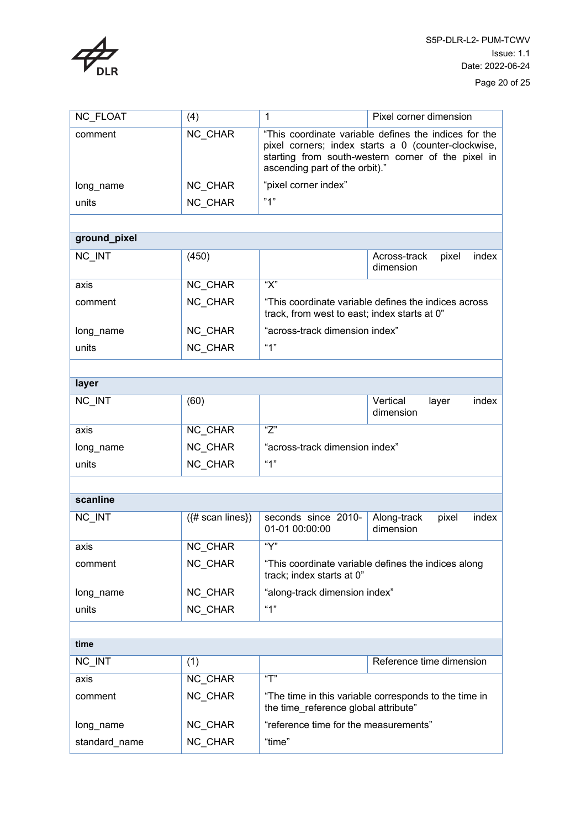

| NC_FLOAT      | (4)                | $\mathbf{1}$                                                                                                                                                                                         | Pixel corner dimension                                |  |  |
|---------------|--------------------|------------------------------------------------------------------------------------------------------------------------------------------------------------------------------------------------------|-------------------------------------------------------|--|--|
| comment       | <b>NC CHAR</b>     | "This coordinate variable defines the indices for the<br>pixel corners; index starts a 0 (counter-clockwise,<br>starting from south-western corner of the pixel in<br>ascending part of the orbit)." |                                                       |  |  |
| long_name     | NC_CHAR            | "pixel corner index"                                                                                                                                                                                 |                                                       |  |  |
| units         | NC_CHAR            | "1"                                                                                                                                                                                                  |                                                       |  |  |
|               |                    |                                                                                                                                                                                                      |                                                       |  |  |
| ground_pixel  |                    |                                                                                                                                                                                                      |                                                       |  |  |
| NC_INT        | (450)              |                                                                                                                                                                                                      | Across-track<br>pixel<br>index<br>dimension           |  |  |
| axis          | NC_CHAR            | " $X$ "                                                                                                                                                                                              |                                                       |  |  |
| comment       | <b>NC CHAR</b>     | track, from west to east; index starts at 0"                                                                                                                                                         | "This coordinate variable defines the indices across" |  |  |
| long_name     | NC_CHAR            | "across-track dimension index"                                                                                                                                                                       |                                                       |  |  |
| units         | <b>NC CHAR</b>     | "1"                                                                                                                                                                                                  |                                                       |  |  |
|               |                    |                                                                                                                                                                                                      |                                                       |  |  |
| layer         |                    |                                                                                                                                                                                                      |                                                       |  |  |
| NC_INT        | (60)               |                                                                                                                                                                                                      | Vertical<br>index<br>layer<br>dimension               |  |  |
| axis          | NC_CHAR            | "Z"                                                                                                                                                                                                  |                                                       |  |  |
| long_name     | <b>NC CHAR</b>     | "across-track dimension index"                                                                                                                                                                       |                                                       |  |  |
| units         | NC CHAR            | "1"                                                                                                                                                                                                  |                                                       |  |  |
|               |                    |                                                                                                                                                                                                      |                                                       |  |  |
| scanline      |                    |                                                                                                                                                                                                      |                                                       |  |  |
| NC_INT        | $({# scan lines})$ | seconds since 2010-<br>01-01 00:00:00                                                                                                                                                                | Along-track<br>index<br>pixel<br>dimension            |  |  |
| axis          | NC_CHAR            | "Y"                                                                                                                                                                                                  |                                                       |  |  |
| comment       | NC CHAR            | track; index starts at 0"                                                                                                                                                                            | "This coordinate variable defines the indices along   |  |  |
| long_name     | NC_CHAR            | "along-track dimension index"                                                                                                                                                                        |                                                       |  |  |
| units         | NC CHAR            | "1"                                                                                                                                                                                                  |                                                       |  |  |
|               |                    |                                                                                                                                                                                                      |                                                       |  |  |
| time          |                    |                                                                                                                                                                                                      |                                                       |  |  |
| NC_INT        | (1)                |                                                                                                                                                                                                      | Reference time dimension                              |  |  |
| axis          | NC_CHAR            | $\overline{T}$                                                                                                                                                                                       |                                                       |  |  |
| comment       | NC CHAR            | "The time in this variable corresponds to the time in<br>the time reference global attribute"                                                                                                        |                                                       |  |  |
| long_name     | NC_CHAR            | "reference time for the measurements"                                                                                                                                                                |                                                       |  |  |
| standard_name | NC CHAR            | "time"                                                                                                                                                                                               |                                                       |  |  |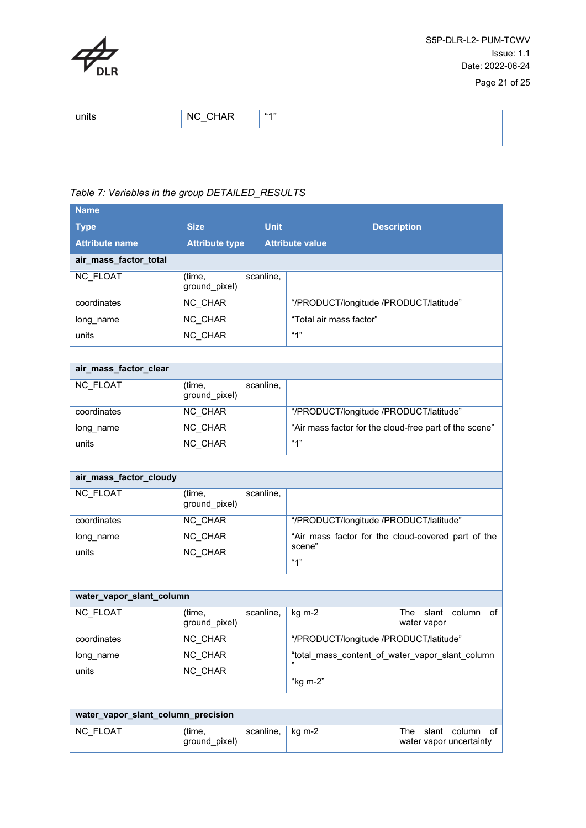

| units | <b>CHAR</b><br><b>NC</b><br>$\sim$ | 44.33 |
|-------|------------------------------------|-------|
|       |                                    |       |

#### <span id="page-20-0"></span>*Table 7: Variables in the group DETAILED\_RESULTS*

| <b>Name</b>                        |                         |                        |                                                        |                                                         |  |
|------------------------------------|-------------------------|------------------------|--------------------------------------------------------|---------------------------------------------------------|--|
| <b>Type</b>                        | <b>Size</b>             | <b>Unit</b>            |                                                        | <b>Description</b>                                      |  |
| <b>Attribute name</b>              | <b>Attribute type</b>   | <b>Attribute value</b> |                                                        |                                                         |  |
| air_mass_factor_total              |                         |                        |                                                        |                                                         |  |
| <b>NC FLOAT</b>                    | (time,<br>ground_pixel) | scanline,              |                                                        |                                                         |  |
| coordinates                        | NC CHAR                 |                        | "/PRODUCT/longitude /PRODUCT/latitude"                 |                                                         |  |
| long_name                          | NC CHAR                 |                        | "Total air mass factor"                                |                                                         |  |
| units                              | NC_CHAR                 |                        | "1"                                                    |                                                         |  |
|                                    |                         |                        |                                                        |                                                         |  |
| air_mass_factor_clear              |                         |                        |                                                        |                                                         |  |
| <b>NC FLOAT</b>                    | (time,<br>ground_pixel) | scanline,              |                                                        |                                                         |  |
| coordinates                        | NC_CHAR                 |                        | "/PRODUCT/longitude /PRODUCT/latitude"                 |                                                         |  |
| long_name                          | NC CHAR                 |                        | "Air mass factor for the cloud-free part of the scene" |                                                         |  |
| units                              | NC CHAR                 |                        | "1"                                                    |                                                         |  |
|                                    |                         |                        |                                                        |                                                         |  |
| air_mass_factor_cloudy             |                         |                        |                                                        |                                                         |  |
| NC_FLOAT                           | (time,<br>ground_pixel) | scanline,              |                                                        |                                                         |  |
| coordinates                        | NC CHAR                 |                        | "/PRODUCT/longitude /PRODUCT/latitude"                 |                                                         |  |
| long_name                          | NC CHAR                 |                        |                                                        | "Air mass factor for the cloud-covered part of the      |  |
| units                              | NC_CHAR                 |                        | scene"<br>"1"                                          |                                                         |  |
|                                    |                         |                        |                                                        |                                                         |  |
|                                    |                         |                        |                                                        |                                                         |  |
| water_vapor_slant_column           |                         |                        |                                                        |                                                         |  |
| NC_FLOAT                           | (time,<br>ground_pixel) | scanline,              | kg m-2                                                 | The<br>slant<br>column<br>of<br>water vapor             |  |
| coordinates                        | NC CHAR                 |                        | "/PRODUCT/longitude /PRODUCT/latitude"                 |                                                         |  |
| long_name                          | NC_CHAR                 |                        | "total_mass_content_of_water_vapor_slant_column        |                                                         |  |
| units                              | NC_CHAR                 |                        | "kg m-2"                                               |                                                         |  |
|                                    |                         |                        |                                                        |                                                         |  |
| water_vapor_slant_column_precision |                         |                        |                                                        |                                                         |  |
| NC_FLOAT                           | (time,<br>ground_pixel) | scanline,              | $kg m-2$                                               | slant<br>column<br>of<br>The<br>water vapor uncertainty |  |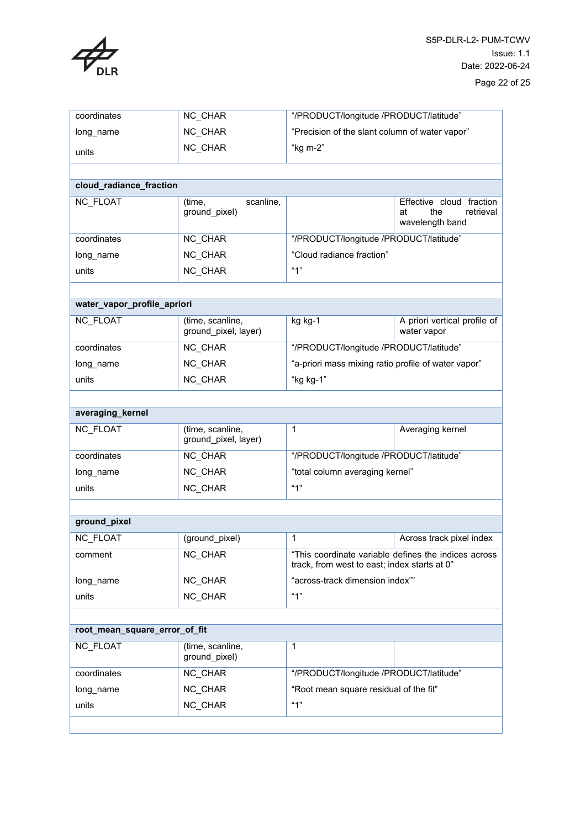

| coordinates                   | NC CHAR                                  | "/PRODUCT/longitude /PRODUCT/latitude"              |                                                                       |
|-------------------------------|------------------------------------------|-----------------------------------------------------|-----------------------------------------------------------------------|
| long_name                     | NC CHAR                                  | "Precision of the slant column of water vapor"      |                                                                       |
| units                         | NC CHAR                                  | "kg m-2"                                            |                                                                       |
|                               |                                          |                                                     |                                                                       |
| cloud_radiance_fraction       |                                          |                                                     |                                                                       |
| <b>NC FLOAT</b>               | scanline,<br>(time,<br>ground_pixel)     |                                                     | Effective cloud fraction<br>retrieval<br>the<br>at<br>wavelength band |
| coordinates                   | NC_CHAR                                  | "/PRODUCT/longitude /PRODUCT/latitude"              |                                                                       |
| long_name                     | NC CHAR                                  | "Cloud radiance fraction"                           |                                                                       |
| units                         | NC_CHAR                                  | "1"                                                 |                                                                       |
|                               |                                          |                                                     |                                                                       |
| water_vapor_profile_apriori   |                                          |                                                     |                                                                       |
| <b>NC FLOAT</b>               | (time, scanline,<br>ground_pixel, layer) | kg kg-1                                             | A priori vertical profile of<br>water vapor                           |
| coordinates                   | NC CHAR                                  | "/PRODUCT/longitude /PRODUCT/latitude"              |                                                                       |
| long_name                     | NC_CHAR                                  | "a-priori mass mixing ratio profile of water vapor" |                                                                       |
| units                         | NC CHAR                                  | "kg kg-1"                                           |                                                                       |
|                               |                                          |                                                     |                                                                       |
| averaging_kernel              |                                          |                                                     |                                                                       |
| NC_FLOAT                      | (time, scanline,<br>ground_pixel, layer) | 1                                                   | Averaging kernel                                                      |
| coordinates                   | NC CHAR                                  | "/PRODUCT/longitude /PRODUCT/latitude"              |                                                                       |
| long_name                     | NC CHAR                                  | "total column averaging kernel"                     |                                                                       |
| units                         | NC_CHAR                                  | "1"                                                 |                                                                       |
|                               |                                          |                                                     |                                                                       |
| ground_pixel                  |                                          |                                                     |                                                                       |
| NC_FLOAT                      | (ground pixel)                           | 1                                                   | Across track pixel index                                              |
| comment                       | NC_CHAR                                  | track, from west to east; index starts at 0"        | "This coordinate variable defines the indices across                  |
| long name                     | NC_CHAR                                  | "across-track dimension index""                     |                                                                       |
| units                         | NC_CHAR                                  | "1"                                                 |                                                                       |
|                               |                                          |                                                     |                                                                       |
| root_mean_square_error_of_fit |                                          |                                                     |                                                                       |
| <b>NC FLOAT</b>               | (time, scanline,<br>ground_pixel)        | 1                                                   |                                                                       |
| coordinates                   | NC CHAR                                  | "/PRODUCT/longitude /PRODUCT/latitude"              |                                                                       |
| long_name                     | NC_CHAR                                  | "Root mean square residual of the fit"              |                                                                       |
| units                         | NC CHAR                                  | "1"                                                 |                                                                       |
|                               |                                          |                                                     |                                                                       |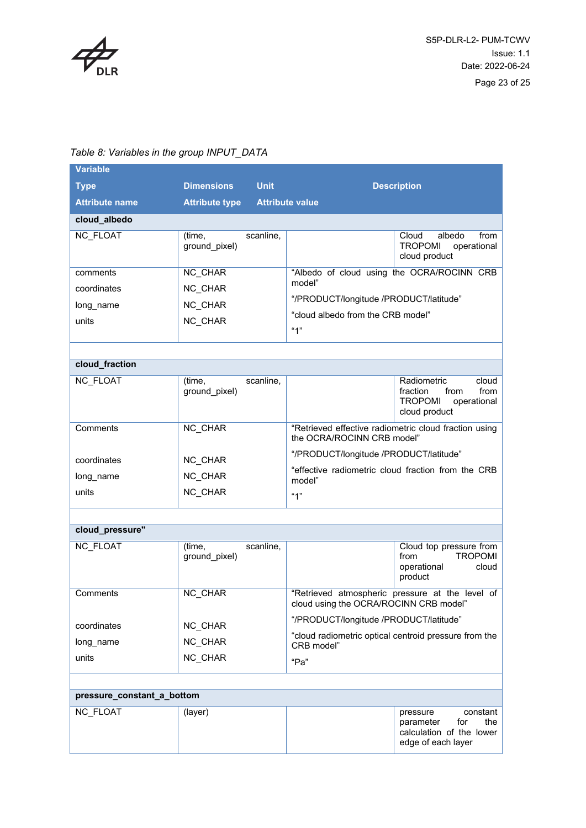

| <b>Variable</b>            |                                      |                                                                                     |                                                                                                    |  |
|----------------------------|--------------------------------------|-------------------------------------------------------------------------------------|----------------------------------------------------------------------------------------------------|--|
| <b>Type</b>                | <b>Dimensions</b><br><b>Unit</b>     |                                                                                     | <b>Description</b>                                                                                 |  |
| <b>Attribute name</b>      | <b>Attribute type</b>                | <b>Attribute value</b>                                                              |                                                                                                    |  |
| cloud_albedo               |                                      |                                                                                     |                                                                                                    |  |
| <b>NC FLOAT</b>            | scanline,<br>(time,<br>ground pixel) |                                                                                     | albedo<br>from<br>Cloud<br><b>TROPOMI</b><br>operational<br>cloud product                          |  |
| comments                   | NC_CHAR                              |                                                                                     | "Albedo of cloud using the OCRA/ROCINN CRB                                                         |  |
| coordinates                | NC CHAR                              | model"                                                                              |                                                                                                    |  |
| long_name                  | NC CHAR                              | "/PRODUCT/longitude /PRODUCT/latitude"                                              |                                                                                                    |  |
| units                      | NC_CHAR                              | "cloud albedo from the CRB model"<br>"1"                                            |                                                                                                    |  |
|                            |                                      |                                                                                     |                                                                                                    |  |
| cloud_fraction             |                                      |                                                                                     |                                                                                                    |  |
| <b>NC FLOAT</b>            | scanline,<br>(time,<br>ground pixel) |                                                                                     | Radiometric<br>cloud<br>from<br>fraction<br>from<br><b>TROPOMI</b><br>operational<br>cloud product |  |
| Comments                   | NC CHAR                              | "Retrieved effective radiometric cloud fraction using<br>the OCRA/ROCINN CRB model" |                                                                                                    |  |
| coordinates                | NC_CHAR                              | "/PRODUCT/longitude /PRODUCT/latitude"                                              |                                                                                                    |  |
| long_name                  | NC_CHAR                              |                                                                                     | "effective radiometric cloud fraction from the CRB                                                 |  |
| units                      | NC CHAR                              | model"<br>"1"                                                                       |                                                                                                    |  |
|                            |                                      |                                                                                     |                                                                                                    |  |
| cloud_pressure"            |                                      |                                                                                     |                                                                                                    |  |
| <b>NC FLOAT</b>            | scanline,<br>(time,<br>ground_pixel) |                                                                                     | Cloud top pressure from<br><b>TROPOMI</b><br>from<br>operational<br>cloud<br>product               |  |
| Comments                   | NC_CHAR                              | cloud using the OCRA/ROCINN CRB model"                                              | "Retrieved atmospheric pressure at the level of                                                    |  |
| coordinates                | NC_CHAR                              | "/PRODUCT/longitude /PRODUCT/latitude"                                              |                                                                                                    |  |
| long_name                  | NC_CHAR                              |                                                                                     | "cloud radiometric optical centroid pressure from the                                              |  |
| units                      | NC_CHAR                              | CRB model"                                                                          |                                                                                                    |  |
|                            |                                      | "Pa"                                                                                |                                                                                                    |  |
|                            |                                      |                                                                                     |                                                                                                    |  |
| pressure_constant_a_bottom |                                      |                                                                                     |                                                                                                    |  |
| <b>NC FLOAT</b>            | (layer)                              |                                                                                     | constant<br>pressure<br>for<br>the<br>parameter<br>calculation of the lower<br>edge of each layer  |  |

#### <span id="page-22-0"></span>*Table 8: Variables in the group INPUT\_DATA*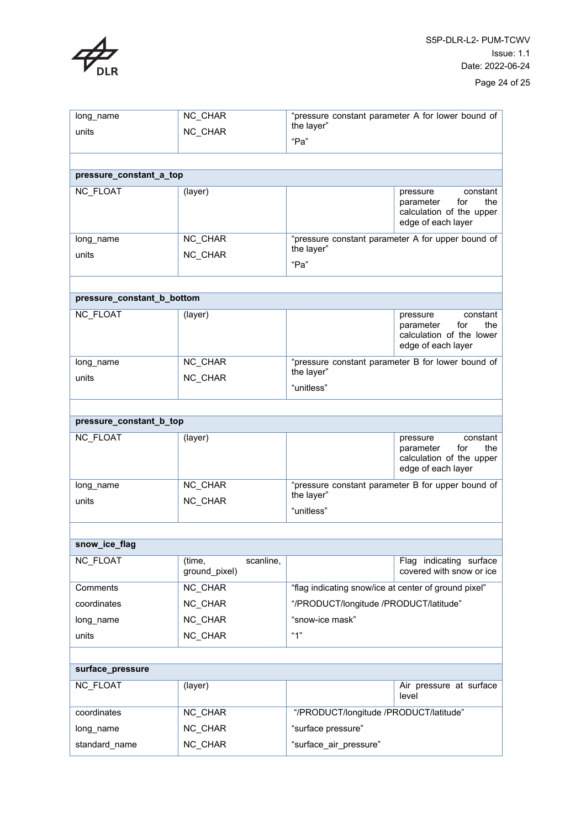

| long_name                  | NC_CHAR                              | "pressure constant parameter A for lower bound of<br>the layer"               |                                                                                                   |  |  |
|----------------------------|--------------------------------------|-------------------------------------------------------------------------------|---------------------------------------------------------------------------------------------------|--|--|
| units                      | NC CHAR                              |                                                                               |                                                                                                   |  |  |
|                            |                                      | "Pa"                                                                          |                                                                                                   |  |  |
|                            |                                      |                                                                               |                                                                                                   |  |  |
| pressure_constant_a_top    |                                      |                                                                               |                                                                                                   |  |  |
| <b>NC FLOAT</b>            | (layer)                              |                                                                               | constant<br>pressure<br>parameter<br>for<br>the<br>calculation of the upper<br>edge of each layer |  |  |
| long_name                  | <b>NC CHAR</b>                       | "pressure constant parameter A for upper bound of<br>the layer"<br>"Pa"       |                                                                                                   |  |  |
| units                      | NC CHAR                              |                                                                               |                                                                                                   |  |  |
|                            |                                      |                                                                               |                                                                                                   |  |  |
| pressure_constant_b_bottom |                                      |                                                                               |                                                                                                   |  |  |
| <b>NC FLOAT</b>            | (layer)                              |                                                                               | constant<br>pressure<br>parameter<br>for<br>the<br>calculation of the lower<br>edge of each layer |  |  |
| long_name                  | <b>NC CHAR</b>                       | "pressure constant parameter B for lower bound of<br>the layer"<br>"unitless" |                                                                                                   |  |  |
| units                      | NC CHAR                              |                                                                               |                                                                                                   |  |  |
|                            |                                      |                                                                               |                                                                                                   |  |  |
| pressure_constant_b_top    |                                      |                                                                               |                                                                                                   |  |  |
| <b>NC FLOAT</b>            | (layer)                              |                                                                               | constant<br>pressure                                                                              |  |  |
|                            |                                      |                                                                               | for<br>the<br>parameter<br>calculation of the upper<br>edge of each layer                         |  |  |
| long name                  | NC CHAR                              | "pressure constant parameter B for upper bound of                             |                                                                                                   |  |  |
| units                      | NC CHAR                              | the layer"<br>"unitless"                                                      |                                                                                                   |  |  |
|                            |                                      |                                                                               |                                                                                                   |  |  |
| snow_ice_flag              |                                      |                                                                               |                                                                                                   |  |  |
| <b>NC FLOAT</b>            | scanline,<br>(time,<br>ground_pixel) |                                                                               | Flag indicating surface<br>covered with snow or ice                                               |  |  |
| Comments                   | NC_CHAR                              | "flag indicating snow/ice at center of ground pixel"                          |                                                                                                   |  |  |
| coordinates                | NC_CHAR                              | "/PRODUCT/longitude /PRODUCT/latitude"                                        |                                                                                                   |  |  |
| long_name                  | NC_CHAR                              | "snow-ice mask"                                                               |                                                                                                   |  |  |
| units                      | NC_CHAR                              | "1"                                                                           |                                                                                                   |  |  |
|                            |                                      |                                                                               |                                                                                                   |  |  |
| surface_pressure           |                                      |                                                                               |                                                                                                   |  |  |
| <b>NC FLOAT</b>            | (layer)                              |                                                                               | Air pressure at surface<br>level                                                                  |  |  |
| coordinates                | NC_CHAR                              | "/PRODUCT/longitude /PRODUCT/latitude"                                        |                                                                                                   |  |  |
|                            |                                      |                                                                               |                                                                                                   |  |  |
| long_name                  | NC_CHAR                              | "surface pressure"                                                            |                                                                                                   |  |  |